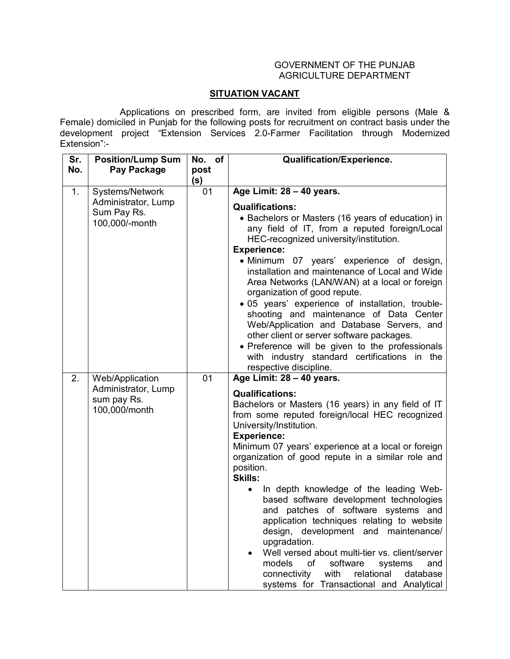## GOVERNMENT OF THE PUNJAB AGRICULTURE DEPARTMENT

## **SITUATION VACANT**

Applications on prescribed form, are invited from eligible persons (Male & Female) domiciled in Punjab for the following posts for recruitment on contract basis under the development project "Extension Services 2.0-Farmer Facilitation through Modernized Extension":-

| Sr. | <b>Position/Lump Sum</b>      | No.             | of | <b>Qualification/Experience.</b>                                                                                                             |
|-----|-------------------------------|-----------------|----|----------------------------------------------------------------------------------------------------------------------------------------------|
| No. | Pay Package                   | post            |    |                                                                                                                                              |
|     |                               | (s)             |    |                                                                                                                                              |
| 1.  | Systems/Network               | $\overline{01}$ |    | Age Limit: 28 - 40 years.                                                                                                                    |
|     | Administrator, Lump           |                 |    | <b>Qualifications:</b>                                                                                                                       |
|     | Sum Pay Rs.<br>100,000/-month |                 |    | • Bachelors or Masters (16 years of education) in                                                                                            |
|     |                               |                 |    | any field of IT, from a reputed foreign/Local                                                                                                |
|     |                               |                 |    | HEC-recognized university/institution.                                                                                                       |
|     |                               |                 |    | <b>Experience:</b>                                                                                                                           |
|     |                               |                 |    | • Minimum 07 years' experience of design,<br>installation and maintenance of Local and Wide<br>Area Networks (LAN/WAN) at a local or foreign |
|     |                               |                 |    | organization of good repute.                                                                                                                 |
|     |                               |                 |    | · 05 years' experience of installation, trouble-                                                                                             |
|     |                               |                 |    | shooting and maintenance of Data Center                                                                                                      |
|     |                               |                 |    | Web/Application and Database Servers, and                                                                                                    |
|     |                               |                 |    | other client or server software packages.<br>• Preference will be given to the professionals                                                 |
|     |                               |                 |    | with industry standard certifications in the                                                                                                 |
|     |                               |                 |    | respective discipline.                                                                                                                       |
| 2.  | Web/Application               | $\overline{01}$ |    | Age Limit: 28 - 40 years.                                                                                                                    |
|     | Administrator, Lump           |                 |    | <b>Qualifications:</b>                                                                                                                       |
|     | sum pay Rs.<br>100,000/month  |                 |    | Bachelors or Masters (16 years) in any field of IT                                                                                           |
|     |                               |                 |    | from some reputed foreign/local HEC recognized<br>University/Institution.                                                                    |
|     |                               |                 |    | <b>Experience:</b>                                                                                                                           |
|     |                               |                 |    | Minimum 07 years' experience at a local or foreign                                                                                           |
|     |                               |                 |    | organization of good repute in a similar role and                                                                                            |
|     |                               |                 |    | position.<br><b>Skills:</b>                                                                                                                  |
|     |                               |                 |    | In depth knowledge of the leading Web-<br>$\bullet$                                                                                          |
|     |                               |                 |    | based software development technologies<br>and patches of software systems and                                                               |
|     |                               |                 |    | application techniques relating to website                                                                                                   |
|     |                               |                 |    | design, development and maintenance/<br>upgradation.                                                                                         |
|     |                               |                 |    | Well versed about multi-tier vs. client/server                                                                                               |
|     |                               |                 |    | models<br>software<br>of<br>systems<br>and                                                                                                   |
|     |                               |                 |    | with<br>relational<br>connectivity<br>database                                                                                               |
|     |                               |                 |    | systems for Transactional and Analytical                                                                                                     |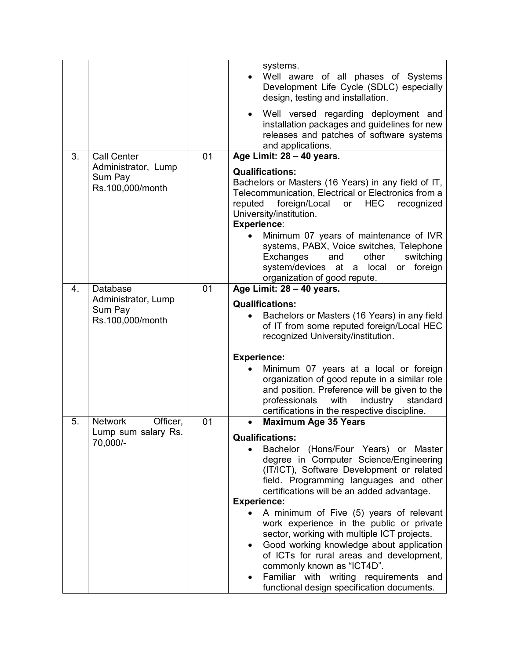|    |                                                    |    | systems.<br>Well aware of all phases of Systems<br>Development Life Cycle (SDLC) especially<br>design, testing and installation.                                                                                                                                                                                        |
|----|----------------------------------------------------|----|-------------------------------------------------------------------------------------------------------------------------------------------------------------------------------------------------------------------------------------------------------------------------------------------------------------------------|
|    |                                                    |    | Well versed regarding deployment and<br>installation packages and guidelines for new<br>releases and patches of software systems<br>and applications.                                                                                                                                                                   |
| 3. | <b>Call Center</b>                                 | 01 | Age Limit: 28 - 40 years.                                                                                                                                                                                                                                                                                               |
|    | Administrator, Lump<br>Sum Pay<br>Rs.100,000/month |    | <b>Qualifications:</b><br>Bachelors or Masters (16 Years) in any field of IT,<br>Telecommunication, Electrical or Electronics from a<br>reputed<br>foreign/Local<br><b>HEC</b><br>recognized<br>or<br>University/institution.<br><b>Experience:</b>                                                                     |
|    |                                                    |    | Minimum 07 years of maintenance of IVR<br>$\bullet$<br>systems, PABX, Voice switches, Telephone<br>Exchanges<br>and<br>other<br>switching<br>system/devices at a local<br>or foreign<br>organization of good repute.                                                                                                    |
| 4. | Database                                           | 01 | Age Limit: $28 - 40$ years.                                                                                                                                                                                                                                                                                             |
|    | Administrator, Lump<br>Sum Pay                     |    | <b>Qualifications:</b>                                                                                                                                                                                                                                                                                                  |
|    | Rs.100,000/month                                   |    | Bachelors or Masters (16 Years) in any field<br>$\bullet$<br>of IT from some reputed foreign/Local HEC<br>recognized University/institution.                                                                                                                                                                            |
|    |                                                    |    | <b>Experience:</b>                                                                                                                                                                                                                                                                                                      |
|    |                                                    |    | Minimum 07 years at a local or foreign<br>organization of good repute in a similar role<br>and position. Preference will be given to the<br>professionals<br>industry<br>standard<br>with<br>certifications in the respective discipline.                                                                               |
| 5. | <b>Network</b><br>Officer,                         | 01 | <b>Maximum Age 35 Years</b>                                                                                                                                                                                                                                                                                             |
|    | Lump sum salary Rs.<br>70,000/-                    |    | <b>Qualifications:</b>                                                                                                                                                                                                                                                                                                  |
|    |                                                    |    | Bachelor (Hons/Four Years) or Master<br>degree in Computer Science/Engineering<br>(IT/ICT), Software Development or related<br>field. Programming languages and other<br>certifications will be an added advantage.                                                                                                     |
|    |                                                    |    | <b>Experience:</b>                                                                                                                                                                                                                                                                                                      |
|    |                                                    |    | A minimum of Five (5) years of relevant<br>work experience in the public or private<br>sector, working with multiple ICT projects.<br>Good working knowledge about application<br>$\bullet$<br>of ICTs for rural areas and development,<br>commonly known as "ICT4D".<br>Familiar with writing requirements<br>and<br>٠ |
|    |                                                    |    | functional design specification documents.                                                                                                                                                                                                                                                                              |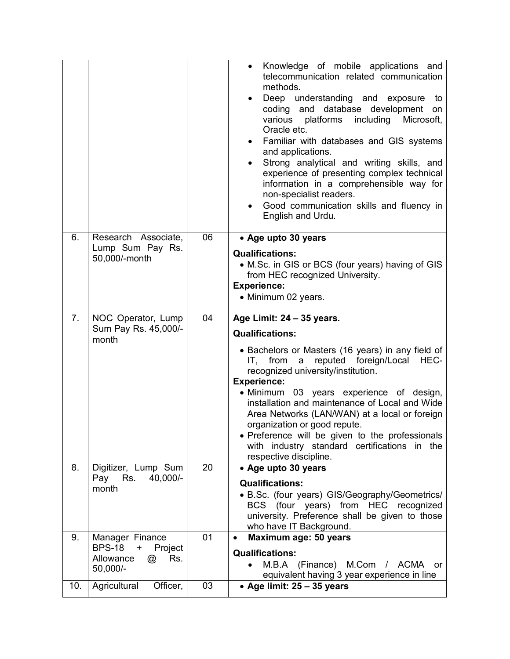|     |                                                                    |    | Knowledge of mobile applications and<br>$\bullet$<br>telecommunication related communication<br>methods.<br>Deep understanding and exposure<br>to<br>coding and database development<br><b>on</b><br>various<br>platforms<br>including<br>Microsoft,<br>Oracle etc.<br>Familiar with databases and GIS systems<br>$\bullet$<br>and applications.<br>Strong analytical and writing skills, and<br>experience of presenting complex technical<br>information in a comprehensible way for<br>non-specialist readers.<br>Good communication skills and fluency in<br>English and Urdu. |
|-----|--------------------------------------------------------------------|----|------------------------------------------------------------------------------------------------------------------------------------------------------------------------------------------------------------------------------------------------------------------------------------------------------------------------------------------------------------------------------------------------------------------------------------------------------------------------------------------------------------------------------------------------------------------------------------|
| 6.  | Research Associate,<br>Lump Sum Pay Rs.                            | 06 | • Age upto 30 years                                                                                                                                                                                                                                                                                                                                                                                                                                                                                                                                                                |
|     | 50,000/-month                                                      |    | <b>Qualifications:</b><br>• M.Sc. in GIS or BCS (four years) having of GIS<br>from HEC recognized University.<br><b>Experience:</b><br>• Minimum 02 years.                                                                                                                                                                                                                                                                                                                                                                                                                         |
| 7.  | NOC Operator, Lump<br>Sum Pay Rs. 45,000/-                         | 04 | Age Limit: 24 - 35 years.                                                                                                                                                                                                                                                                                                                                                                                                                                                                                                                                                          |
|     | month                                                              |    | <b>Qualifications:</b>                                                                                                                                                                                                                                                                                                                                                                                                                                                                                                                                                             |
|     |                                                                    |    | • Bachelors or Masters (16 years) in any field of<br>reputed foreign/Local<br>HEC-<br>IT, from<br>a<br>recognized university/institution.<br><b>Experience:</b><br>• Minimum 03 years experience of design,<br>installation and maintenance of Local and Wide<br>Area Networks (LAN/WAN) at a local or foreign<br>organization or good repute.<br>• Preference will be given to the professionals<br>with industry standard certifications in the<br>respective discipline.                                                                                                        |
| 8.  | Digitizer, Lump Sum<br>Rs.<br>40,000/-<br>Pay                      | 20 | • Age upto 30 years                                                                                                                                                                                                                                                                                                                                                                                                                                                                                                                                                                |
|     | month                                                              |    | <b>Qualifications:</b><br>• B.Sc. (four years) GIS/Geography/Geometrics/<br>BCS (four years) from HEC recognized<br>university. Preference shall be given to those<br>who have IT Background.                                                                                                                                                                                                                                                                                                                                                                                      |
| 9.  | Manager Finance                                                    | 01 | Maximum age: 50 years<br>$\bullet$                                                                                                                                                                                                                                                                                                                                                                                                                                                                                                                                                 |
|     | <b>BPS-18</b><br>Project<br>+<br>Allowance<br>Rs.<br>@<br>50,000/- |    | <b>Qualifications:</b><br>M.B.A (Finance) M.Com / ACMA<br>or<br>equivalent having 3 year experience in line                                                                                                                                                                                                                                                                                                                                                                                                                                                                        |
| 10. | Agricultural<br>Officer,                                           | 03 | • Age limit: $25 - 35$ years                                                                                                                                                                                                                                                                                                                                                                                                                                                                                                                                                       |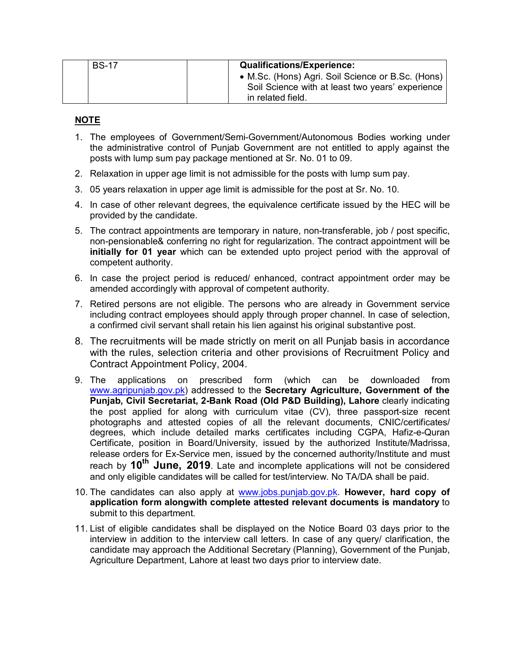| <b>BS-17</b> | <b>Qualifications/Experience:</b>                                                                     |
|--------------|-------------------------------------------------------------------------------------------------------|
|              | • M.Sc. (Hons) Agri. Soil Science or B.Sc. (Hons)<br>Soil Science with at least two years' experience |
|              | in related field.                                                                                     |

## **NOTE**

- 1. The employees of Government/Semi-Government/Autonomous Bodies working under the administrative control of Punjab Government are not entitled to apply against the posts with lump sum pay package mentioned at Sr. No. 01 to 09.
- 2. Relaxation in upper age limit is not admissible for the posts with lump sum pay.
- 3. 05 years relaxation in upper age limit is admissible for the post at Sr. No. 10.
- 4. In case of other relevant degrees, the equivalence certificate issued by the HEC will be provided by the candidate.
- 5. The contract appointments are temporary in nature, non-transferable, job / post specific, non-pensionable& conferring no right for regularization. The contract appointment will be **initially for 01 year** which can be extended upto project period with the approval of competent authority.
- 6. In case the project period is reduced/ enhanced, contract appointment order may be amended accordingly with approval of competent authority.
- 7. Retired persons are not eligible. The persons who are already in Government service including contract employees should apply through proper channel. In case of selection, a confirmed civil servant shall retain his lien against his original substantive post.
- 8. The recruitments will be made strictly on merit on all Punjab basis in accordance with the rules, selection criteria and other provisions of Recruitment Policy and Contract Appointment Policy, 2004.
- 9. The applications on prescribed form (which can be downloaded from www.agripunjab.gov.pk) addressed to the **Secretary Agriculture, Government of the Punjab, Civil Secretariat, 2-Bank Road (Old P&D Building), Lahore** clearly indicating the post applied for along with curriculum vitae (CV), three passport-size recent photographs and attested copies of all the relevant documents, CNIC/certificates/ degrees, which include detailed marks certificates including CGPA, Hafiz-e-Quran Certificate, position in Board/University, issued by the authorized Institute/Madrissa, release orders for Ex-Service men, issued by the concerned authority/Institute and must reach by **10th June, 2019**. Late and incomplete applications will not be considered and only eligible candidates will be called for test/interview. No TA/DA shall be paid.
- 10. The candidates can also apply at www.jobs.punjab.gov.pk. **However, hard copy of application form alongwith complete attested relevant documents is mandatory** to submit to this department.
- 11. List of eligible candidates shall be displayed on the Notice Board 03 days prior to the interview in addition to the interview call letters. In case of any query/ clarification, the candidate may approach the Additional Secretary (Planning), Government of the Punjab, Agriculture Department, Lahore at least two days prior to interview date.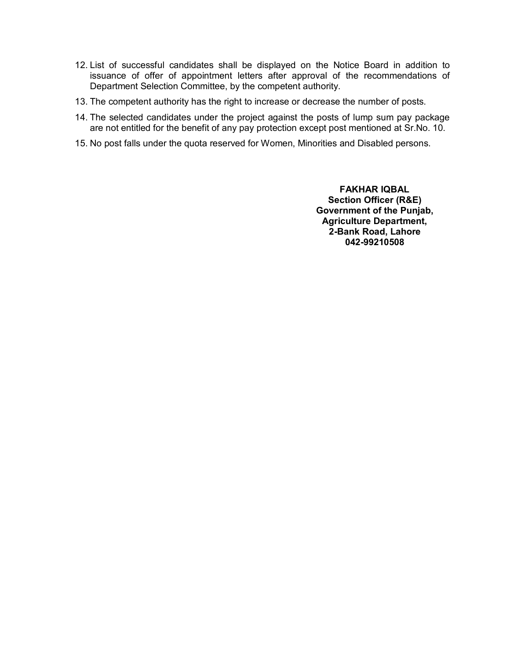- 12. List of successful candidates shall be displayed on the Notice Board in addition to issuance of offer of appointment letters after approval of the recommendations of Department Selection Committee, by the competent authority.
- 13. The competent authority has the right to increase or decrease the number of posts.
- 14. The selected candidates under the project against the posts of lump sum pay package are not entitled for the benefit of any pay protection except post mentioned at Sr.No. 10.
- 15. No post falls under the quota reserved for Women, Minorities and Disabled persons.

**FAKHAR IQBAL Section Officer (R&E) Government of the Punjab, Agriculture Department, 2-Bank Road, Lahore 042-99210508**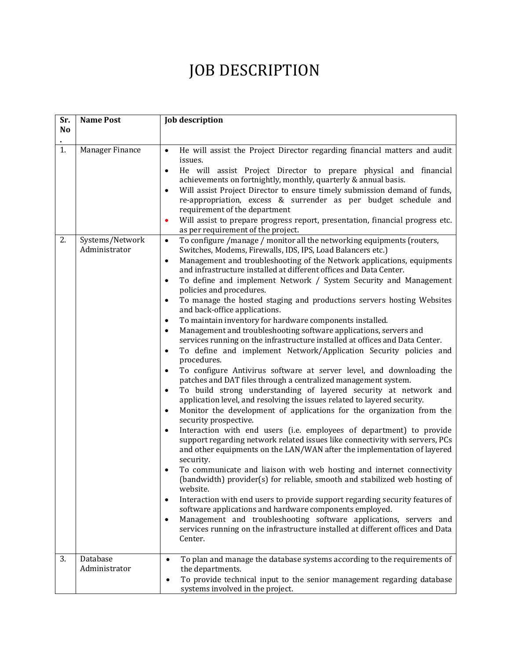## JOB DESCRIPTION

| Sr. | <b>Name Post</b>                 | <b>Job description</b>                                                                                                                                                                                                                                                                                                                                                                                                                                                                                                                                                                                                                                                                                                                                                                                                                                                                                                                                                                                                                                                                                                                                                                                                                                                                                                                                                                                                                                                                                                                                                                                                                                                                                                                                                                                                                                                                                                                                                                                                                                                                                                 |
|-----|----------------------------------|------------------------------------------------------------------------------------------------------------------------------------------------------------------------------------------------------------------------------------------------------------------------------------------------------------------------------------------------------------------------------------------------------------------------------------------------------------------------------------------------------------------------------------------------------------------------------------------------------------------------------------------------------------------------------------------------------------------------------------------------------------------------------------------------------------------------------------------------------------------------------------------------------------------------------------------------------------------------------------------------------------------------------------------------------------------------------------------------------------------------------------------------------------------------------------------------------------------------------------------------------------------------------------------------------------------------------------------------------------------------------------------------------------------------------------------------------------------------------------------------------------------------------------------------------------------------------------------------------------------------------------------------------------------------------------------------------------------------------------------------------------------------------------------------------------------------------------------------------------------------------------------------------------------------------------------------------------------------------------------------------------------------------------------------------------------------------------------------------------------------|
| No  |                                  |                                                                                                                                                                                                                                                                                                                                                                                                                                                                                                                                                                                                                                                                                                                                                                                                                                                                                                                                                                                                                                                                                                                                                                                                                                                                                                                                                                                                                                                                                                                                                                                                                                                                                                                                                                                                                                                                                                                                                                                                                                                                                                                        |
| 1.  | Manager Finance                  | He will assist the Project Director regarding financial matters and audit<br>$\bullet$<br>issues.<br>He will assist Project Director to prepare physical and financial<br>$\bullet$<br>achievements on fortnightly, monthly, quarterly & annual basis.<br>Will assist Project Director to ensure timely submission demand of funds,<br>$\bullet$<br>re-appropriation, excess & surrender as per budget schedule and<br>requirement of the department<br>Will assist to prepare progress report, presentation, financial progress etc.<br>as per requirement of the project.                                                                                                                                                                                                                                                                                                                                                                                                                                                                                                                                                                                                                                                                                                                                                                                                                                                                                                                                                                                                                                                                                                                                                                                                                                                                                                                                                                                                                                                                                                                                            |
| 2.  | Systems/Network<br>Administrator | To configure /manage / monitor all the networking equipments (routers,<br>$\bullet$<br>Switches, Modems, Firewalls, IDS, IPS, Load Balancers etc.)<br>Management and troubleshooting of the Network applications, equipments<br>$\bullet$<br>and infrastructure installed at different offices and Data Center.<br>To define and implement Network / System Security and Management<br>$\bullet$<br>policies and procedures.<br>To manage the hosted staging and productions servers hosting Websites<br>$\bullet$<br>and back-office applications.<br>To maintain inventory for hardware components installed.<br>$\bullet$<br>Management and troubleshooting software applications, servers and<br>$\bullet$<br>services running on the infrastructure installed at offices and Data Center.<br>To define and implement Network/Application Security policies and<br>$\bullet$<br>procedures.<br>To configure Antivirus software at server level, and downloading the<br>$\bullet$<br>patches and DAT files through a centralized management system.<br>To build strong understanding of layered security at network and<br>$\bullet$<br>application level, and resolving the issues related to layered security.<br>Monitor the development of applications for the organization from the<br>$\bullet$<br>security prospective.<br>Interaction with end users (i.e. employees of department) to provide<br>$\bullet$<br>support regarding network related issues like connectivity with servers, PCs<br>and other equipments on the LAN/WAN after the implementation of layered<br>security.<br>To communicate and liaison with web hosting and internet connectivity<br>$\bullet$<br>(bandwidth) provider(s) for reliable, smooth and stabilized web hosting of<br>website.<br>Interaction with end users to provide support regarding security features of<br>$\bullet$<br>software applications and hardware components employed.<br>Management and troubleshooting software applications, servers and<br>$\bullet$<br>services running on the infrastructure installed at different offices and Data<br>Center. |
| 3.  | Database<br>Administrator        | To plan and manage the database systems according to the requirements of<br>$\bullet$<br>the departments.<br>To provide technical input to the senior management regarding database<br>٠<br>systems involved in the project.                                                                                                                                                                                                                                                                                                                                                                                                                                                                                                                                                                                                                                                                                                                                                                                                                                                                                                                                                                                                                                                                                                                                                                                                                                                                                                                                                                                                                                                                                                                                                                                                                                                                                                                                                                                                                                                                                           |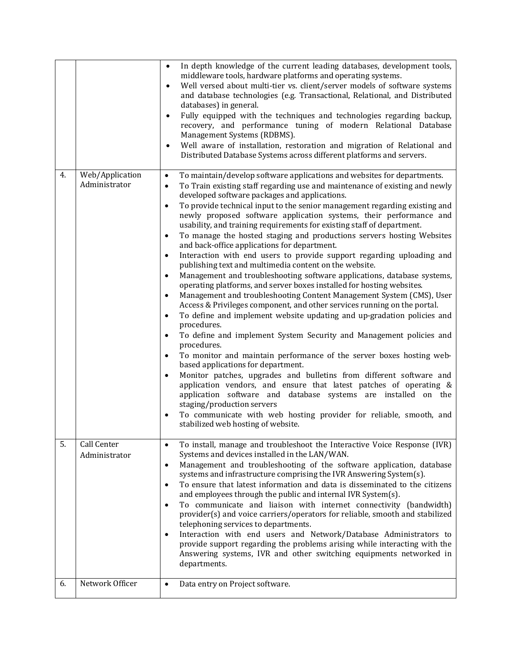|    |                                  | In depth knowledge of the current leading databases, development tools,<br>$\bullet$<br>middleware tools, hardware platforms and operating systems.<br>Well versed about multi-tier vs. client/server models of software systems<br>$\bullet$<br>and database technologies (e.g. Transactional, Relational, and Distributed<br>databases) in general.<br>Fully equipped with the techniques and technologies regarding backup,<br>$\bullet$<br>recovery, and performance tuning of modern Relational Database<br>Management Systems (RDBMS).<br>Well aware of installation, restoration and migration of Relational and<br>٠<br>Distributed Database Systems across different platforms and servers.                                                                                                                                                                                                                                                                                                                                                                                                                                                                                                                                                                                                                                                                                                                                                                                                                                                                                                                                                                                                                                                                                                                           |
|----|----------------------------------|--------------------------------------------------------------------------------------------------------------------------------------------------------------------------------------------------------------------------------------------------------------------------------------------------------------------------------------------------------------------------------------------------------------------------------------------------------------------------------------------------------------------------------------------------------------------------------------------------------------------------------------------------------------------------------------------------------------------------------------------------------------------------------------------------------------------------------------------------------------------------------------------------------------------------------------------------------------------------------------------------------------------------------------------------------------------------------------------------------------------------------------------------------------------------------------------------------------------------------------------------------------------------------------------------------------------------------------------------------------------------------------------------------------------------------------------------------------------------------------------------------------------------------------------------------------------------------------------------------------------------------------------------------------------------------------------------------------------------------------------------------------------------------------------------------------------------------|
| 4. | Web/Application<br>Administrator | To maintain/develop software applications and websites for departments.<br>$\bullet$<br>To Train existing staff regarding use and maintenance of existing and newly<br>$\bullet$<br>developed software packages and applications.<br>To provide technical input to the senior management regarding existing and<br>$\bullet$<br>newly proposed software application systems, their performance and<br>usability, and training requirements for existing staff of department.<br>To manage the hosted staging and productions servers hosting Websites<br>$\bullet$<br>and back-office applications for department.<br>Interaction with end users to provide support regarding uploading and<br>$\bullet$<br>publishing text and multimedia content on the website.<br>Management and troubleshooting software applications, database systems,<br>$\bullet$<br>operating platforms, and server boxes installed for hosting websites.<br>Management and troubleshooting Content Management System (CMS), User<br>$\bullet$<br>Access & Privileges component, and other services running on the portal.<br>To define and implement website updating and up-gradation policies and<br>$\bullet$<br>procedures.<br>To define and implement System Security and Management policies and<br>$\bullet$<br>procedures.<br>To monitor and maintain performance of the server boxes hosting web-<br>$\bullet$<br>based applications for department.<br>Monitor patches, upgrades and bulletins from different software and<br>$\bullet$<br>application vendors, and ensure that latest patches of operating &<br>application software and<br>database systems are installed on the<br>staging/production servers<br>To communicate with web hosting provider for reliable, smooth, and<br>$\bullet$<br>stabilized web hosting of website. |
| 5. | Call Center<br>Administrator     | To install, manage and troubleshoot the Interactive Voice Response (IVR)<br>$\bullet$<br>Systems and devices installed in the LAN/WAN.<br>Management and troubleshooting of the software application, database<br>$\bullet$<br>systems and infrastructure comprising the IVR Answering System(s).<br>To ensure that latest information and data is disseminated to the citizens<br>$\bullet$<br>and employees through the public and internal IVR System(s).<br>To communicate and liaison with internet connectivity (bandwidth)<br>$\bullet$<br>provider(s) and voice carriers/operators for reliable, smooth and stabilized<br>telephoning services to departments.<br>Interaction with end users and Network/Database Administrators to<br>$\bullet$<br>provide support regarding the problems arising while interacting with the<br>Answering systems, IVR and other switching equipments networked in<br>departments.                                                                                                                                                                                                                                                                                                                                                                                                                                                                                                                                                                                                                                                                                                                                                                                                                                                                                                    |
| 6. | Network Officer                  | Data entry on Project software.<br>$\bullet$                                                                                                                                                                                                                                                                                                                                                                                                                                                                                                                                                                                                                                                                                                                                                                                                                                                                                                                                                                                                                                                                                                                                                                                                                                                                                                                                                                                                                                                                                                                                                                                                                                                                                                                                                                                   |